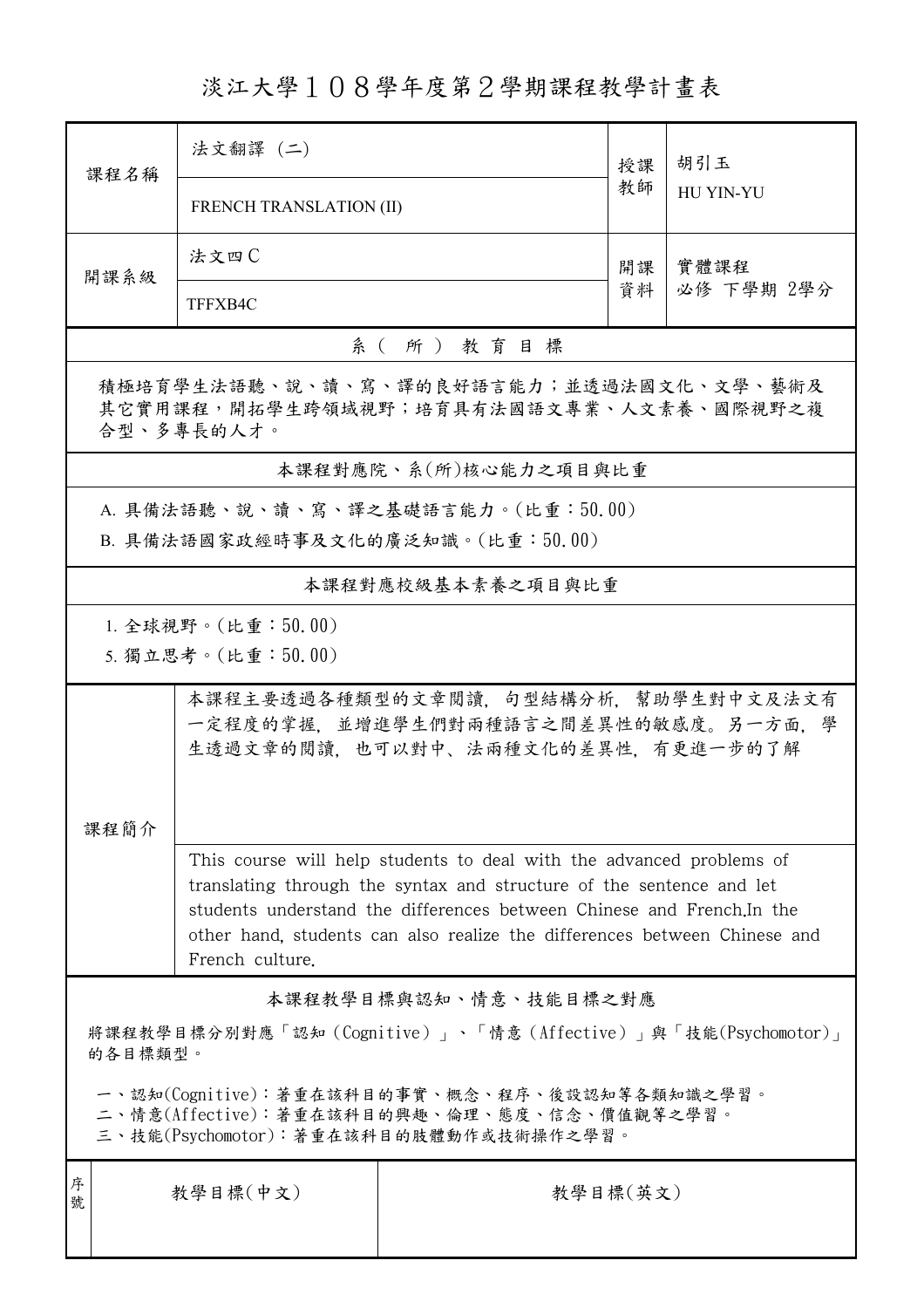淡江大學108學年度第2學期課程教學計畫表

| 課程名稱                                                                                                                                                                                                                                                                                                                   | 法文翻譯 (二)                                                                                                        |                                    | 授課       | 胡引玉              |  |  |  |
|------------------------------------------------------------------------------------------------------------------------------------------------------------------------------------------------------------------------------------------------------------------------------------------------------------------------|-----------------------------------------------------------------------------------------------------------------|------------------------------------|----------|------------------|--|--|--|
|                                                                                                                                                                                                                                                                                                                        | <b>FRENCH TRANSLATION (II)</b>                                                                                  |                                    |          | <b>HU YIN-YU</b> |  |  |  |
| 開課系級                                                                                                                                                                                                                                                                                                                   | 法文四C                                                                                                            |                                    | 開課       | 實體課程             |  |  |  |
|                                                                                                                                                                                                                                                                                                                        | TFFXB4C                                                                                                         |                                    | 資料       | 必修 下學期 2學分       |  |  |  |
| 系(所)教育目標                                                                                                                                                                                                                                                                                                               |                                                                                                                 |                                    |          |                  |  |  |  |
| 積極培育學生法語聽、說、讀、寫、譯的良好語言能力;並透過法國文化、文學、藝術及<br>其它實用課程,開拓學生跨領域視野;培育具有法國語文專業、人文素養、國際視野之複<br>合型、多專長的人才。                                                                                                                                                                                                                       |                                                                                                                 |                                    |          |                  |  |  |  |
|                                                                                                                                                                                                                                                                                                                        |                                                                                                                 | 本課程對應院、系(所)核心能力之項目與比重              |          |                  |  |  |  |
|                                                                                                                                                                                                                                                                                                                        |                                                                                                                 | A. 具備法語聽、說、讀、寫、譯之基礎語言能力。(比重:50.00) |          |                  |  |  |  |
|                                                                                                                                                                                                                                                                                                                        |                                                                                                                 | B. 具備法語國家政經時事及文化的廣泛知識。(比重:50.00)   |          |                  |  |  |  |
|                                                                                                                                                                                                                                                                                                                        |                                                                                                                 | 本課程對應校級基本素養之項目與比重                  |          |                  |  |  |  |
| 1. 全球視野。(比重: $50.00$ )<br>5. 獨立思考。(比重:50.00)                                                                                                                                                                                                                                                                           |                                                                                                                 |                                    |          |                  |  |  |  |
| 課程簡介                                                                                                                                                                                                                                                                                                                   | 本課程主要透過各種類型的文章閱讀,句型結構分析,幫助學生對中文及法文有<br>一定程度的掌握,並增進學生們對兩種語言之間差異性的敏感度。另一方面,學<br>生透過文章的閱讀,也可以對中、法兩種文化的差異性,有更進一步的了解 |                                    |          |                  |  |  |  |
| This course will help students to deal with the advanced problems of<br>translating through the syntax and structure of the sentence and let<br>students understand the differences between Chinese and French, In the<br>other hand, students can also realize the differences between Chinese and<br>French culture. |                                                                                                                 |                                    |          |                  |  |  |  |
| 本課程教學目標與認知、情意、技能目標之對應                                                                                                                                                                                                                                                                                                  |                                                                                                                 |                                    |          |                  |  |  |  |
| 將課程教學目標分別對應「認知(Cognitive)」、「情意(Affective)」與「技能(Psychomotor)」<br>的各目標類型。                                                                                                                                                                                                                                                |                                                                                                                 |                                    |          |                  |  |  |  |
| 一、認知(Cognitive):著重在該科目的事實、概念、程序、後設認知等各類知識之學習。<br>二、情意(Affective):著重在該科目的興趣、倫理、態度、信念、價值觀等之學習。<br>三、技能(Psychomotor):著重在該科目的肢體動作或技術操作之學習。                                                                                                                                                                                 |                                                                                                                 |                                    |          |                  |  |  |  |
| 序<br>號                                                                                                                                                                                                                                                                                                                 | 教學目標(中文)                                                                                                        |                                    | 教學目標(英文) |                  |  |  |  |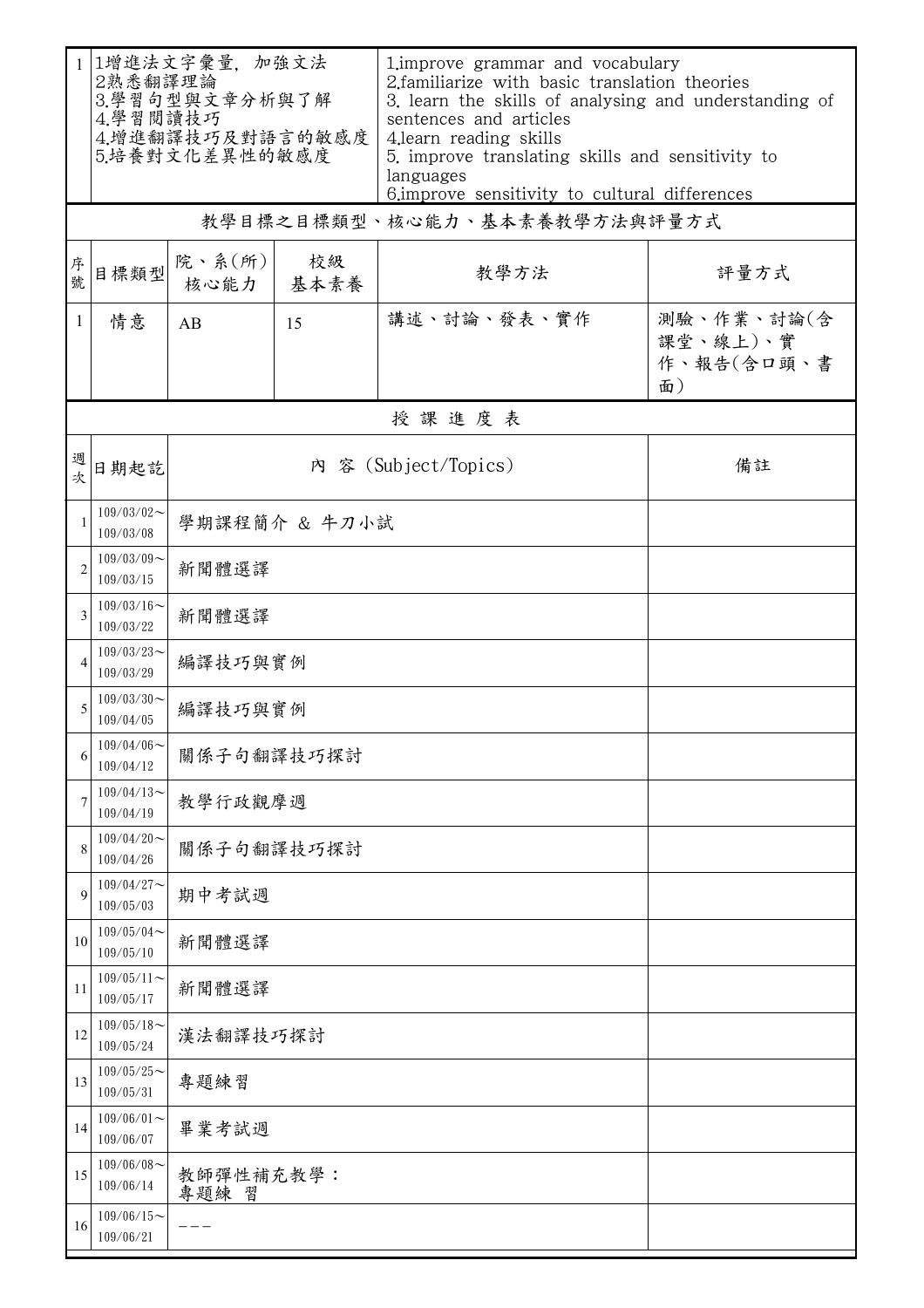| $\mathbf{1}$   | 1增進法文字彙量,加強文法<br>2熟悉翻譯理論<br>3.學習句型與文章分析與了解<br>4.學習閱讀技巧<br>4.增進翻譯技巧及對語言的敏感度<br>5.培養對文化差異性的敏感度 |                            |            | 1. improve grammar and vocabulary<br>2.familiarize with basic translation theories<br>3. learn the skills of analysing and understanding of<br>sentences and articles<br>4.learn reading skills<br>5. improve translating skills and sensitivity to<br>languages<br>6. improve sensitivity to cultural differences |                                            |  |  |  |
|----------------|----------------------------------------------------------------------------------------------|----------------------------|------------|--------------------------------------------------------------------------------------------------------------------------------------------------------------------------------------------------------------------------------------------------------------------------------------------------------------------|--------------------------------------------|--|--|--|
|                | 教學目標之目標類型、核心能力、基本素養教學方法與評量方式                                                                 |                            |            |                                                                                                                                                                                                                                                                                                                    |                                            |  |  |  |
| 序號             | 目標類型                                                                                         | 院、系(所)<br>核心能力             | 校級<br>基本素養 | 教學方法                                                                                                                                                                                                                                                                                                               | 評量方式                                       |  |  |  |
| $\mathbf{1}$   | 情意                                                                                           | AB                         | 15         | 講述、討論、發表、實作                                                                                                                                                                                                                                                                                                        | 測驗、作業、討論(含<br>課堂、線上)、實<br>作、報告(含口頭、書<br>面) |  |  |  |
| 授課進度表          |                                                                                              |                            |            |                                                                                                                                                                                                                                                                                                                    |                                            |  |  |  |
| 週次             | 日期起訖                                                                                         | 內 容 (Subject/Topics)<br>備註 |            |                                                                                                                                                                                                                                                                                                                    |                                            |  |  |  |
| $\mathbf{1}$   | $109/03/02$ ~<br>109/03/08                                                                   | 學期課程簡介 & 牛刀小試              |            |                                                                                                                                                                                                                                                                                                                    |                                            |  |  |  |
| $\overline{2}$ | $109/03/09$ ~<br>109/03/15                                                                   | 新聞體選譯                      |            |                                                                                                                                                                                                                                                                                                                    |                                            |  |  |  |
| 3              | $109/03/16$ ~<br>109/03/22                                                                   | 新聞體選譯                      |            |                                                                                                                                                                                                                                                                                                                    |                                            |  |  |  |
| 4              | $109/03/23$ ~<br>109/03/29                                                                   | 編譯技巧與實例                    |            |                                                                                                                                                                                                                                                                                                                    |                                            |  |  |  |
| 5              | $109/03/30$ ~<br>109/04/05                                                                   | 編譯技巧與實例                    |            |                                                                                                                                                                                                                                                                                                                    |                                            |  |  |  |
| 6              | $109/04/06$ ~<br>109/04/12                                                                   | 關係子句翻譯技巧探討                 |            |                                                                                                                                                                                                                                                                                                                    |                                            |  |  |  |
| 7              | $109/04/13$ ~<br>109/04/19                                                                   | 教學行政觀摩週                    |            |                                                                                                                                                                                                                                                                                                                    |                                            |  |  |  |
| 8              | $109/04/20$ ~<br>109/04/26                                                                   | 關係子句翻譯技巧探討                 |            |                                                                                                                                                                                                                                                                                                                    |                                            |  |  |  |
| 9              | $109/04/27$ ~<br>109/05/03                                                                   | 期中考試週                      |            |                                                                                                                                                                                                                                                                                                                    |                                            |  |  |  |
| 10             | $109/05/04$ ~<br>109/05/10                                                                   | 新聞體選譯                      |            |                                                                                                                                                                                                                                                                                                                    |                                            |  |  |  |
| 11             | $109/05/11$ ~<br>109/05/17                                                                   | 新聞體選譯                      |            |                                                                                                                                                                                                                                                                                                                    |                                            |  |  |  |
| 12             | $109/05/18$ ~<br>109/05/24                                                                   |                            | 漢法翻譯技巧探討   |                                                                                                                                                                                                                                                                                                                    |                                            |  |  |  |
| 13             | $109/05/25$ ~<br>109/05/31                                                                   | 專題練習                       |            |                                                                                                                                                                                                                                                                                                                    |                                            |  |  |  |
| 14             | $109/06/01$ ~<br>109/06/07                                                                   | 畢業考試週                      |            |                                                                                                                                                                                                                                                                                                                    |                                            |  |  |  |
| 15             | $109/06/08$ ~<br>109/06/14                                                                   | 教師彈性補充教學:<br>專題練<br>習      |            |                                                                                                                                                                                                                                                                                                                    |                                            |  |  |  |
| 16             | $109/06/15$ ~<br>109/06/21                                                                   |                            |            |                                                                                                                                                                                                                                                                                                                    |                                            |  |  |  |